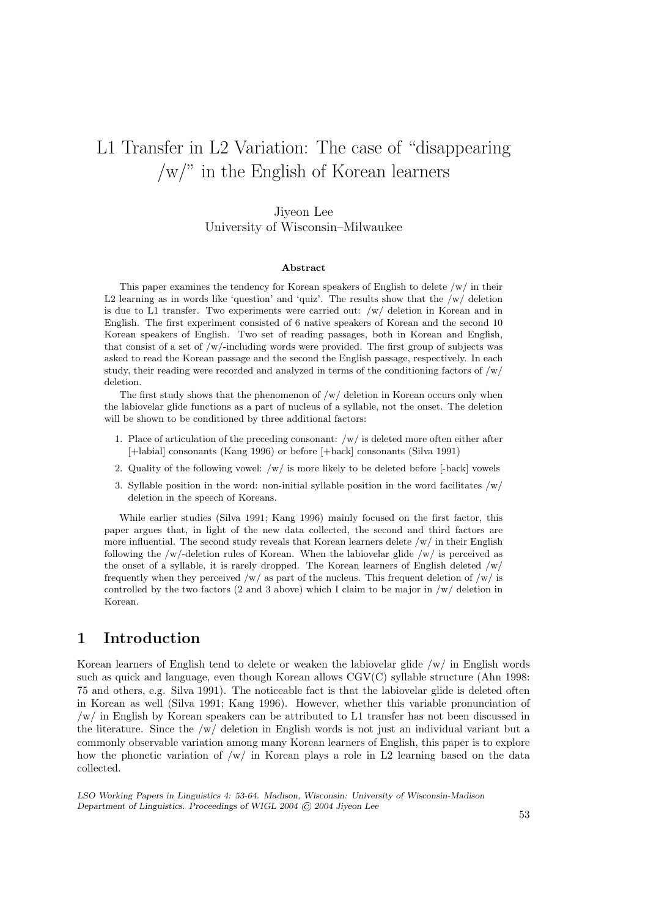# L1 Transfer in L2 Variation: The case of "disappearing /w/" in the English of Korean learners

# Jiyeon Lee University of Wisconsin–Milwaukee

#### Abstract

This paper examines the tendency for Korean speakers of English to delete /w/ in their L2 learning as in words like 'question' and 'quiz'. The results show that the  $/w/$  deletion is due to L1 transfer. Two experiments were carried out:  $/w/$  deletion in Korean and in English. The first experiment consisted of 6 native speakers of Korean and the second 10 Korean speakers of English. Two set of reading passages, both in Korean and English, that consist of a set of /w/-including words were provided. The first group of subjects was asked to read the Korean passage and the second the English passage, respectively. In each study, their reading were recorded and analyzed in terms of the conditioning factors of  $/w/$ deletion.

The first study shows that the phenomenon of  $/w/$  deletion in Korean occurs only when the labiovelar glide functions as a part of nucleus of a syllable, not the onset. The deletion will be shown to be conditioned by three additional factors:

- 1. Place of articulation of the preceding consonant: /w/ is deleted more often either after [+labial] consonants (Kang 1996) or before [+back] consonants (Silva 1991)
- 2. Quality of the following vowel: /w/ is more likely to be deleted before [-back] vowels
- 3. Syllable position in the word: non-initial syllable position in the word facilitates  $/w/$ deletion in the speech of Koreans.

While earlier studies (Silva 1991; Kang 1996) mainly focused on the first factor, this paper argues that, in light of the new data collected, the second and third factors are more influential. The second study reveals that Korean learners delete  $/w/$  in their English following the /w/-deletion rules of Korean. When the labiovelar glide /w/ is perceived as the onset of a syllable, it is rarely dropped. The Korean learners of English deleted  $/w/$ frequently when they perceived /w/ as part of the nucleus. This frequent deletion of /w/ is controlled by the two factors (2 and 3 above) which I claim to be major in  $/w/$  deletion in Korean.

# 1 Introduction

Korean learners of English tend to delete or weaken the labiovelar glide /w/ in English words such as quick and language, even though Korean allows CGV(C) syllable structure (Ahn 1998: 75 and others, e.g. Silva 1991). The noticeable fact is that the labiovelar glide is deleted often in Korean as well (Silva 1991; Kang 1996). However, whether this variable pronunciation of /w/ in English by Korean speakers can be attributed to L1 transfer has not been discussed in the literature. Since the /w/ deletion in English words is not just an individual variant but a commonly observable variation among many Korean learners of English, this paper is to explore how the phonetic variation of  $/w/$  in Korean plays a role in L2 learning based on the data collected.

LSO Working Papers in Linguistics 4: 53-64. Madison, Wisconsin: University of Wisconsin-Madison Department of Linguistics. Proceedings of WIGL 2004 © 2004 Jiyeon Lee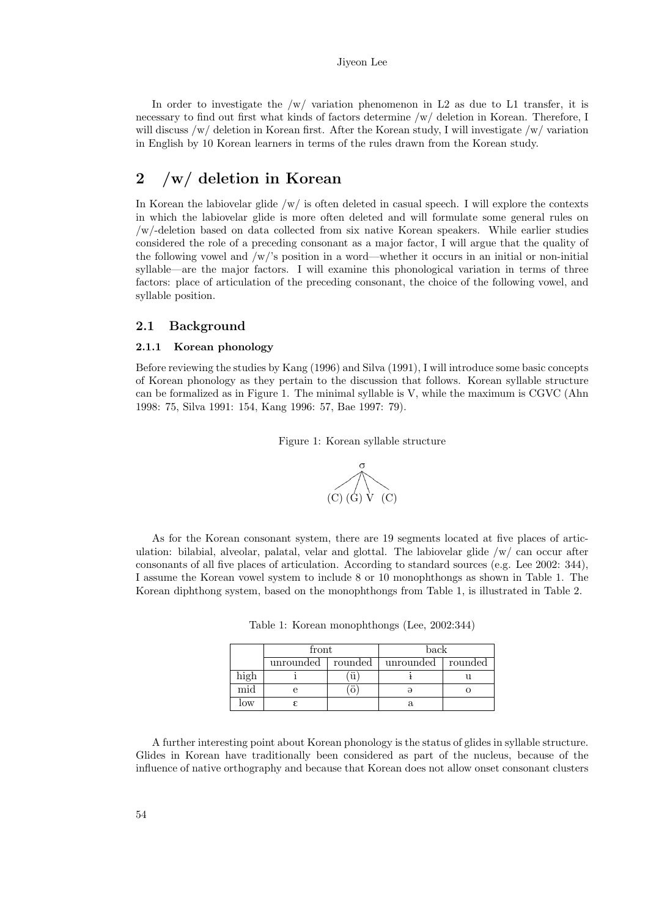In order to investigate the  $/w/$  variation phenomenon in L2 as due to L1 transfer, it is necessary to find out first what kinds of factors determine /w/ deletion in Korean. Therefore, I will discuss /w/ deletion in Korean first. After the Korean study, I will investigate /w/ variation in English by 10 Korean learners in terms of the rules drawn from the Korean study.

# 2 /w/ deletion in Korean

In Korean the labiovelar glide  $/w/$  is often deleted in casual speech. I will explore the contexts in which the labiovelar glide is more often deleted and will formulate some general rules on /w/-deletion based on data collected from six native Korean speakers. While earlier studies considered the role of a preceding consonant as a major factor, I will argue that the quality of the following vowel and  $/w$ 's position in a word—whether it occurs in an initial or non-initial syllable—are the major factors. I will examine this phonological variation in terms of three factors: place of articulation of the preceding consonant, the choice of the following vowel, and syllable position.

## 2.1 Background

#### 2.1.1 Korean phonology

Before reviewing the studies by Kang (1996) and Silva (1991), I will introduce some basic concepts of Korean phonology as they pertain to the discussion that follows. Korean syllable structure can be formalized as in Figure 1. The minimal syllable is V, while the maximum is CGVC (Ahn 1998: 75, Silva 1991: 154, Kang 1996: 57, Bae 1997: 79).

Figure 1: Korean syllable structure



As for the Korean consonant system, there are 19 segments located at five places of articulation: bilabial, alveolar, palatal, velar and glottal. The labiovelar glide /w/ can occur after consonants of all five places of articulation. According to standard sources (e.g. Lee 2002: 344), I assume the Korean vowel system to include 8 or 10 monophthongs as shown in Table 1. The Korean diphthong system, based on the monophthongs from Table 1, is illustrated in Table 2.

|  |  | Table 1: Korean monophthongs (Lee, 2002:344) |  |  |  |
|--|--|----------------------------------------------|--|--|--|
|--|--|----------------------------------------------|--|--|--|

|      | tront     |                      | back      |               |
|------|-----------|----------------------|-----------|---------------|
|      | unrounded | rounded              | unrounded | rounded       |
| high |           | <br>u                |           | $\sim$ $\sim$ |
| mid  |           | $\ddot{\phantom{0}}$ |           |               |
| low  |           |                      |           |               |

A further interesting point about Korean phonology is the status of glides in syllable structure. Glides in Korean have traditionally been considered as part of the nucleus, because of the influence of native orthography and because that Korean does not allow onset consonant clusters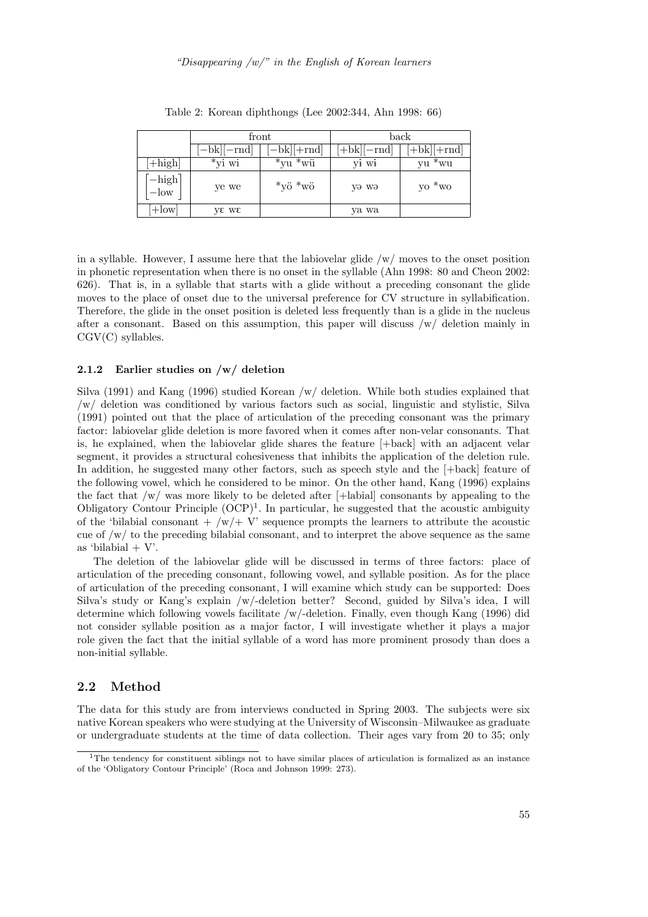|                                        |           | front                         | back         |                    |  |
|----------------------------------------|-----------|-------------------------------|--------------|--------------------|--|
|                                        | —bk  —rnd | $ -bk +rnd $                  | $ +bk $ -rnd | +bk  +rnd          |  |
| $[+high]$                              | *yi wi    | <br>*wü<br>$\mathrm{v}$ vu    | VI Wł        | $^{\ast}$ wu<br>vu |  |
| $\lceil -\text{high}\rceil$<br>$-$ low | ye we     | $*_{y\ddot{o}} *_{w\ddot{o}}$ | yə wə        | yo $*_{\rm wo}$    |  |
| $+$ low                                | ye we     |                               | ya wa        |                    |  |

Table 2: Korean diphthongs (Lee 2002:344, Ahn 1998: 66)

in a syllable. However, I assume here that the labiovelar glide  $/w/m$  oves to the onset position in phonetic representation when there is no onset in the syllable (Ahn 1998: 80 and Cheon 2002: 626). That is, in a syllable that starts with a glide without a preceding consonant the glide moves to the place of onset due to the universal preference for CV structure in syllabification. Therefore, the glide in the onset position is deleted less frequently than is a glide in the nucleus after a consonant. Based on this assumption, this paper will discuss  $/w/$  deletion mainly in CGV(C) syllables.

#### 2.1.2 Earlier studies on /w/ deletion

Silva (1991) and Kang (1996) studied Korean /w/ deletion. While both studies explained that /w/ deletion was conditioned by various factors such as social, linguistic and stylistic, Silva (1991) pointed out that the place of articulation of the preceding consonant was the primary factor: labiovelar glide deletion is more favored when it comes after non-velar consonants. That is, he explained, when the labiovelar glide shares the feature [+back] with an adjacent velar segment, it provides a structural cohesiveness that inhibits the application of the deletion rule. In addition, he suggested many other factors, such as speech style and the  $[+back]$  feature of the following vowel, which he considered to be minor. On the other hand, Kang (1996) explains the fact that /w/ was more likely to be deleted after [+labial] consonants by appealing to the Obligatory Contour Principle  $(OCP)^1$ . In particular, he suggested that the acoustic ambiguity of the 'bilabial consonant +  $/w$  + V' sequence prompts the learners to attribute the acoustic cue of  $\sqrt{w}$  to the preceding bilabial consonant, and to interpret the above sequence as the same as 'bilabial  $+$  V'.

The deletion of the labiovelar glide will be discussed in terms of three factors: place of articulation of the preceding consonant, following vowel, and syllable position. As for the place of articulation of the preceding consonant, I will examine which study can be supported: Does Silva's study or Kang's explain /w/-deletion better? Second, guided by Silva's idea, I will determine which following vowels facilitate /w/-deletion. Finally, even though Kang (1996) did not consider syllable position as a major factor, I will investigate whether it plays a major role given the fact that the initial syllable of a word has more prominent prosody than does a non-initial syllable.

### 2.2 Method

The data for this study are from interviews conducted in Spring 2003. The subjects were six native Korean speakers who were studying at the University of Wisconsin–Milwaukee as graduate or undergraduate students at the time of data collection. Their ages vary from 20 to 35; only

 $1$ The tendency for constituent siblings not to have similar places of articulation is formalized as an instance of the 'Obligatory Contour Principle' (Roca and Johnson 1999: 273).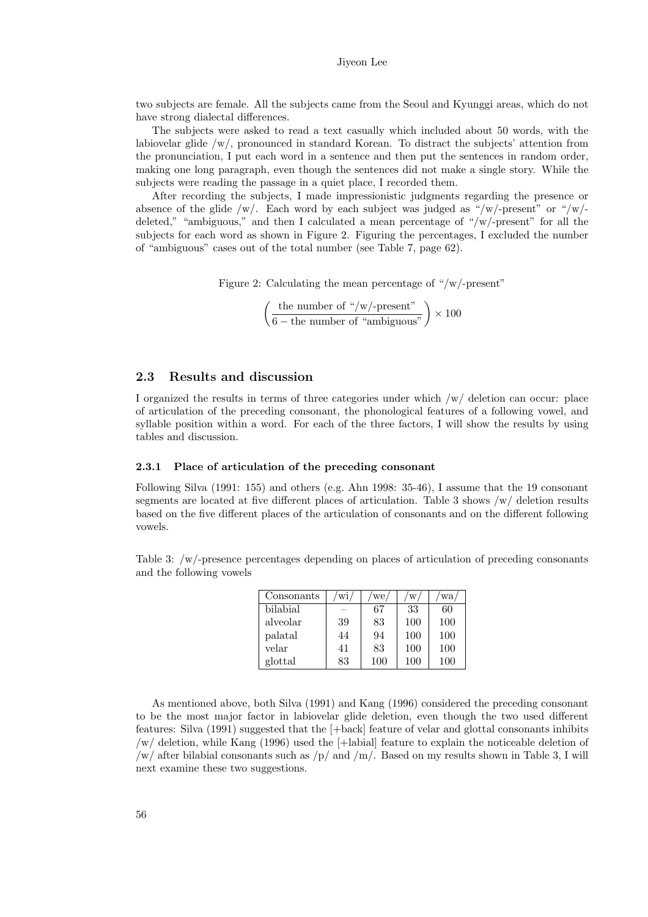two subjects are female. All the subjects came from the Seoul and Kyunggi areas, which do not have strong dialectal differences.

The subjects were asked to read a text casually which included about 50 words, with the labiovelar glide /w/, pronounced in standard Korean. To distract the subjects' attention from the pronunciation, I put each word in a sentence and then put the sentences in random order, making one long paragraph, even though the sentences did not make a single story. While the subjects were reading the passage in a quiet place, I recorded them.

After recording the subjects, I made impressionistic judgments regarding the presence or absence of the glide  $/w/$ . Each word by each subject was judged as "/w/-present" or "/w/deleted," "ambiguous," and then I calculated a mean percentage of " $/w$ -present" for all the subjects for each word as shown in Figure 2. Figuring the percentages, I excluded the number of "ambiguous" cases out of the total number (see Table 7, page 62).

Figure 2: Calculating the mean percentage of "/w/-present"

$$
\left(\frac{\text{the number of "}/\text{w}/\text{-present}^{\text{}}}{6-\text{the number of "ambiguous}^{\text{}}}\right) \times 100
$$

## 2.3 Results and discussion

I organized the results in terms of three categories under which /w/ deletion can occur: place of articulation of the preceding consonant, the phonological features of a following vowel, and syllable position within a word. For each of the three factors, I will show the results by using tables and discussion.

#### 2.3.1 Place of articulation of the preceding consonant

Following Silva (1991: 155) and others (e.g. Ahn 1998: 35-46), I assume that the 19 consonant segments are located at five different places of articulation. Table 3 shows /w/ deletion results based on the five different places of the articulation of consonants and on the different following vowels.

Table 3: /w/-presence percentages depending on places of articulation of preceding consonants and the following vowels

| Consonants | W1. | we/ | W   | wa  |
|------------|-----|-----|-----|-----|
| bilabial   |     | 67  | 33  | 60  |
| alveolar   | 39  | 83  | 100 | 100 |
| palatal    | 44  | 94  | 100 | 100 |
| velar      | 41  | 83  | 100 | 100 |
| glottal    | 83  | 100 | 100 | 100 |

As mentioned above, both Silva (1991) and Kang (1996) considered the preceding consonant to be the most major factor in labiovelar glide deletion, even though the two used different features: Silva (1991) suggested that the [+back] feature of velar and glottal consonants inhibits /w/ deletion, while Kang (1996) used the [+labial] feature to explain the noticeable deletion of  $/w/$  after bilabial consonants such as  $/p/$  and  $/m/$ . Based on my results shown in Table 3, I will next examine these two suggestions.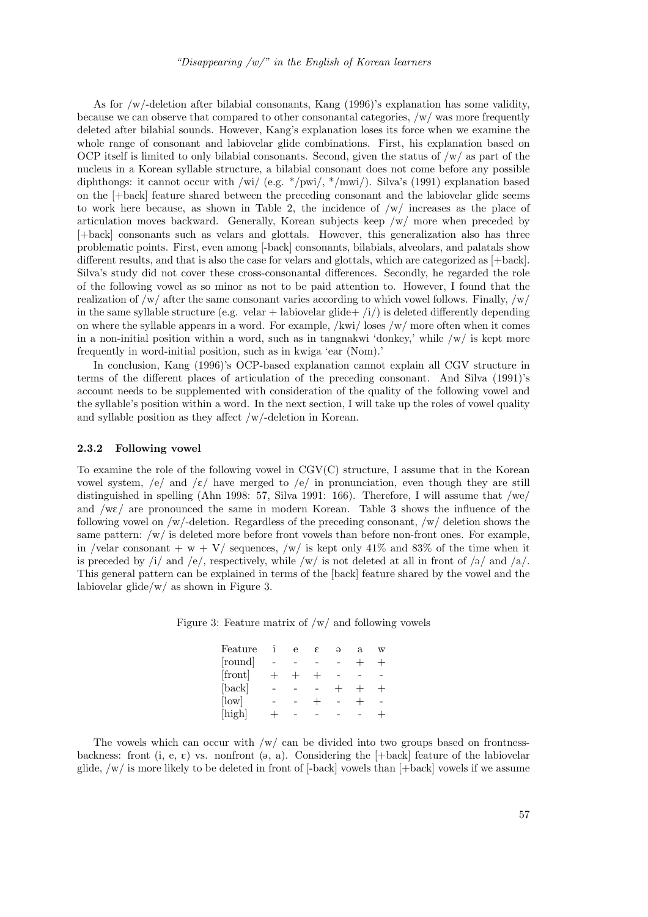As for /w/-deletion after bilabial consonants, Kang (1996)'s explanation has some validity, because we can observe that compared to other consonantal categories, /w/ was more frequently deleted after bilabial sounds. However, Kang's explanation loses its force when we examine the whole range of consonant and labiovelar glide combinations. First, his explanation based on OCP itself is limited to only bilabial consonants. Second, given the status of  $/w/$  as part of the nucleus in a Korean syllable structure, a bilabial consonant does not come before any possible diphthongs: it cannot occur with /wi/ (e.g. \*/pwi/, \*/mwi/). Silva's (1991) explanation based on the [+back] feature shared between the preceding consonant and the labiovelar glide seems to work here because, as shown in Table 2, the incidence of  $/w/$  increases as the place of articulation moves backward. Generally, Korean subjects keep /w/ more when preceded by [+back] consonants such as velars and glottals. However, this generalization also has three problematic points. First, even among [-back] consonants, bilabials, alveolars, and palatals show different results, and that is also the case for velars and glottals, which are categorized as [+back]. Silva's study did not cover these cross-consonantal differences. Secondly, he regarded the role of the following vowel as so minor as not to be paid attention to. However, I found that the realization of  $\sqrt{w}$  after the same consonant varies according to which vowel follows. Finally,  $\sqrt{w}$ in the same syllable structure (e.g. velar + labiovelar glide+  $\langle i \rangle$ ) is deleted differently depending on where the syllable appears in a word. For example,  $/$ kwi $/$  loses  $/w/$  more often when it comes in a non-initial position within a word, such as in tangnakwi 'donkey,' while  $/w/$  is kept more frequently in word-initial position, such as in kwiga 'ear (Nom).'

In conclusion, Kang (1996)'s OCP-based explanation cannot explain all CGV structure in terms of the different places of articulation of the preceding consonant. And Silva (1991)'s account needs to be supplemented with consideration of the quality of the following vowel and the syllable's position within a word. In the next section, I will take up the roles of vowel quality and syllable position as they affect /w/-deletion in Korean.

#### 2.3.2 Following vowel

To examine the role of the following vowel in CGV(C) structure, I assume that in the Korean vowel system, /e/ and / $\varepsilon$ / have merged to /e/ in pronunciation, even though they are still distinguished in spelling (Ahn 1998: 57, Silva 1991: 166). Therefore, I will assume that /we/ and  $/w\epsilon$  are pronounced the same in modern Korean. Table 3 shows the influence of the following vowel on  $/w$ -deletion. Regardless of the preceding consonant,  $/w$  deletion shows the same pattern: /w/ is deleted more before front vowels than before non-front ones. For example, in /velar consonant  $+w + V$ / sequences, /w/ is kept only 41% and 83% of the time when it is preceded by /i/ and /e/, respectively, while /w/ is not deleted at all in front of / $\partial$ / and / $\partial$ /. This general pattern can be explained in terms of the [back] feature shared by the vowel and the labiovelar glide/w/ as shown in Figure 3.

|  |  |  |  |  |  | Figure 3: Feature matrix of $/w/$ and following vowels |  |
|--|--|--|--|--|--|--------------------------------------------------------|--|
|--|--|--|--|--|--|--------------------------------------------------------|--|

| Feature     |         | $i$ e $\varepsilon$            |            | $\Theta$ | a w                      |            |
|-------------|---------|--------------------------------|------------|----------|--------------------------|------------|
| [round]     |         |                                |            |          |                          |            |
| [front]     |         | $+$ $+$ $+$                    |            | $\sim$   | $\sim$ $-$               | $\sim$ $-$ |
| [back]      |         | and the company of the company |            |          | $+$                      | $+$        |
| $[$ low $]$ |         | and the state of the           | $+$        | $\sim$   | $\overline{\phantom{0}}$ | $\sim$     |
| [high]      | $+$ $-$ |                                | $\sim$ $-$ | $\sim$   | $\sim$                   | $+$        |

The vowels which can occur with  $/w/$  can be divided into two groups based on frontnessbackness: front (i, e,  $\varepsilon$ ) vs. nonfront (a, a). Considering the [+back] feature of the labiovelar glide, /w/ is more likely to be deleted in front of [-back] vowels than [+back] vowels if we assume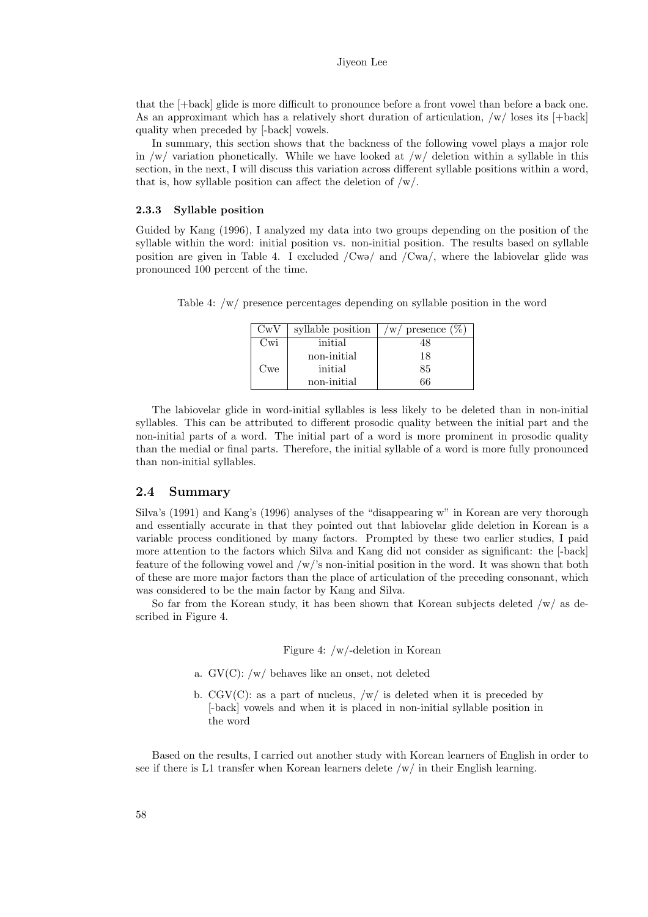that the [+back] glide is more difficult to pronounce before a front vowel than before a back one. As an approximant which has a relatively short duration of articulation, /w/ loses its [+back] quality when preceded by [-back] vowels.

In summary, this section shows that the backness of the following vowel plays a major role in  $/w/$  variation phonetically. While we have looked at  $/w/$  deletion within a syllable in this section, in the next, I will discuss this variation across different syllable positions within a word, that is, how syllable position can affect the deletion of  $/w/$ .

#### 2.3.3 Syllable position

Guided by Kang (1996), I analyzed my data into two groups depending on the position of the syllable within the word: initial position vs. non-initial position. The results based on syllable position are given in Table 4. I excluded  $/Cw9/$  and  $/Cwa/$ , where the labiovelar glide was pronounced 100 percent of the time.

Table 4: /w/ presence percentages depending on syllable position in the word

| $\rm CwV$ | syllable position | presence (<br>W |
|-----------|-------------------|-----------------|
| Cwi       | initial           |                 |
|           | non-initial       | 18              |
| Cwe       | initial           | 85              |
|           | non-initial       | 66              |

The labiovelar glide in word-initial syllables is less likely to be deleted than in non-initial syllables. This can be attributed to different prosodic quality between the initial part and the non-initial parts of a word. The initial part of a word is more prominent in prosodic quality than the medial or final parts. Therefore, the initial syllable of a word is more fully pronounced than non-initial syllables.

#### 2.4 Summary

Silva's (1991) and Kang's (1996) analyses of the "disappearing w" in Korean are very thorough and essentially accurate in that they pointed out that labiovelar glide deletion in Korean is a variable process conditioned by many factors. Prompted by these two earlier studies, I paid more attention to the factors which Silva and Kang did not consider as significant: the [-back] feature of the following vowel and  $/w$ 's non-initial position in the word. It was shown that both of these are more major factors than the place of articulation of the preceding consonant, which was considered to be the main factor by Kang and Silva.

So far from the Korean study, it has been shown that Korean subjects deleted  $/w/$  as described in Figure 4.

Figure 4: /w/-deletion in Korean

- a. GV(C): /w/ behaves like an onset, not deleted
- b.  $CGV(C)$ : as a part of nucleus,  $/w/$  is deleted when it is preceded by [-back] vowels and when it is placed in non-initial syllable position in the word

Based on the results, I carried out another study with Korean learners of English in order to see if there is L1 transfer when Korean learners delete /w/ in their English learning.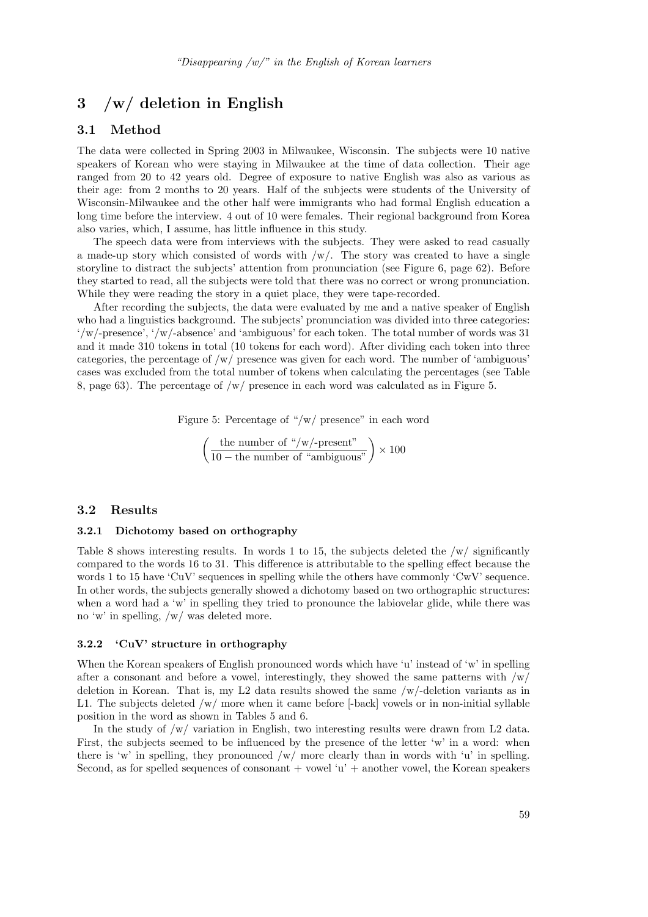# 3 /w/ deletion in English

### 3.1 Method

The data were collected in Spring 2003 in Milwaukee, Wisconsin. The subjects were 10 native speakers of Korean who were staying in Milwaukee at the time of data collection. Their age ranged from 20 to 42 years old. Degree of exposure to native English was also as various as their age: from 2 months to 20 years. Half of the subjects were students of the University of Wisconsin-Milwaukee and the other half were immigrants who had formal English education a long time before the interview. 4 out of 10 were females. Their regional background from Korea also varies, which, I assume, has little influence in this study.

The speech data were from interviews with the subjects. They were asked to read casually a made-up story which consisted of words with  $/w/$ . The story was created to have a single storyline to distract the subjects' attention from pronunciation (see Figure 6, page 62). Before they started to read, all the subjects were told that there was no correct or wrong pronunciation. While they were reading the story in a quiet place, they were tape-recorded.

After recording the subjects, the data were evaluated by me and a native speaker of English who had a linguistics background. The subjects' pronunciation was divided into three categories: '/w/-presence', '/w/-absence' and 'ambiguous' for each token. The total number of words was 31 and it made 310 tokens in total (10 tokens for each word). After dividing each token into three categories, the percentage of  $/w/$  presence was given for each word. The number of 'ambiguous' cases was excluded from the total number of tokens when calculating the percentages (see Table 8, page 63). The percentage of /w/ presence in each word was calculated as in Figure 5.

Figure 5: Percentage of "/w/ presence" in each word

$$
\left(\frac{\text{the number of "}/\text{w}/\text{-present}^{\text{}}}{10 - \text{the number of "ambiguous}^{\text{}}}\right) \times 100
$$

#### 3.2 Results

#### 3.2.1 Dichotomy based on orthography

Table 8 shows interesting results. In words 1 to 15, the subjects deleted the  $/w/$  significantly compared to the words 16 to 31. This difference is attributable to the spelling effect because the words 1 to 15 have 'CuV' sequences in spelling while the others have commonly 'CwV' sequence. In other words, the subjects generally showed a dichotomy based on two orthographic structures: when a word had a 'w' in spelling they tried to pronounce the labiovelar glide, while there was no 'w' in spelling, /w/ was deleted more.

#### 3.2.2 'CuV' structure in orthography

When the Korean speakers of English pronounced words which have 'u' instead of 'w' in spelling after a consonant and before a vowel, interestingly, they showed the same patterns with  $/w/$ deletion in Korean. That is, my L2 data results showed the same /w/-deletion variants as in L1. The subjects deleted /w/ more when it came before [-back] vowels or in non-initial syllable position in the word as shown in Tables 5 and 6.

In the study of  $\sqrt{w}$  variation in English, two interesting results were drawn from L2 data. First, the subjects seemed to be influenced by the presence of the letter 'w' in a word: when there is 'w' in spelling, they pronounced  $/w/$  more clearly than in words with 'u' in spelling. Second, as for spelled sequences of consonant  $+$  vowel 'u'  $+$  another vowel, the Korean speakers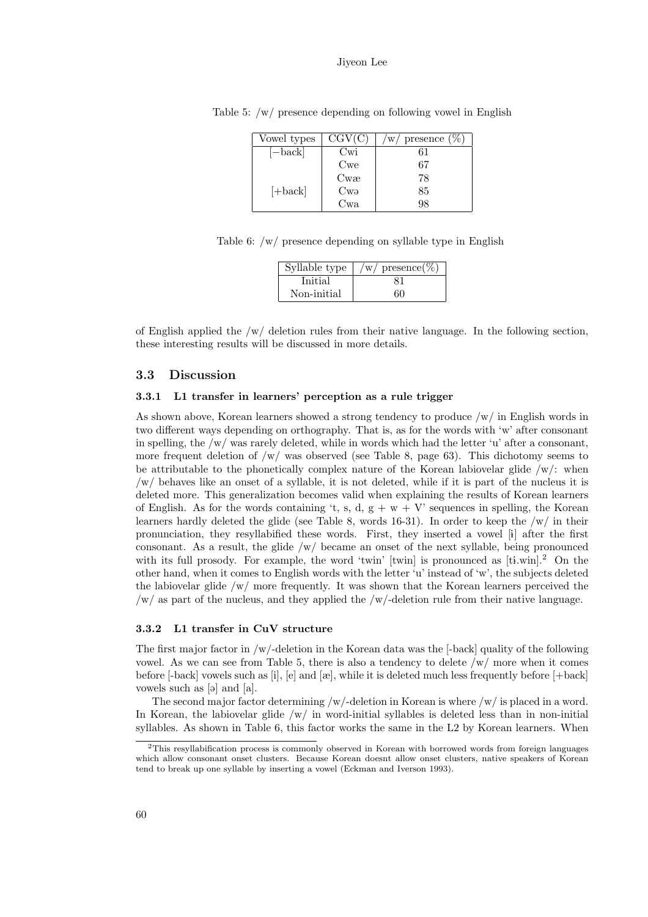| Vowel types | $\overline{\mathrm{CGV}(\mathrm{C})}$ | presence $(\%)$<br>$\mathrm{^{\prime}w}$ |
|-------------|---------------------------------------|------------------------------------------|
| !−back      | Uw1                                   | 61                                       |
|             | Cwe                                   | 67                                       |
|             | Cwe                                   | 78                                       |
| $[+back]$   | Cwə                                   | $85\,$                                   |
|             | ⌒<br>Cwa                              | $98\,$                                   |

Table 5: /w/ presence depending on following vowel in English

Table 6: /w/ presence depending on syllable type in English

| Syllable type | $presence (\%)$<br>W/ |
|---------------|-----------------------|
| Initial       |                       |
| Non-initial   | 60                    |

of English applied the  $/w/$  deletion rules from their native language. In the following section, these interesting results will be discussed in more details.

### 3.3 Discussion

#### 3.3.1 L1 transfer in learners' perception as a rule trigger

As shown above, Korean learners showed a strong tendency to produce /w/ in English words in two different ways depending on orthography. That is, as for the words with 'w' after consonant in spelling, the  $/w/$  was rarely deleted, while in words which had the letter 'u' after a consonant, more frequent deletion of  $/w/$  was observed (see Table 8, page 63). This dichotomy seems to be attributable to the phonetically complex nature of the Korean labiovelar glide  $/w/$ : when /w/ behaves like an onset of a syllable, it is not deleted, while if it is part of the nucleus it is deleted more. This generalization becomes valid when explaining the results of Korean learners of English. As for the words containing 't, s, d,  $g + w + V$ ' sequences in spelling, the Korean learners hardly deleted the glide (see Table 8, words 16-31). In order to keep the /w/ in their pronunciation, they resyllabified these words. First, they inserted a vowel [1] after the first consonant. As a result, the glide  $/w/$  became an onset of the next syllable, being pronounced with its full prosody. For example, the word 'twin' [twin] is pronounced as  $[ti$ .win].<sup>2</sup> On the other hand, when it comes to English words with the letter 'u' instead of 'w', the subjects deleted the labiovelar glide  $/w/m$  ore frequently. It was shown that the Korean learners perceived the /w/ as part of the nucleus, and they applied the /w/-deletion rule from their native language.

#### 3.3.2 L1 transfer in CuV structure

The first major factor in /w/-deletion in the Korean data was the [-back] quality of the following vowel. As we can see from Table 5, there is also a tendency to delete /w/ more when it comes before [-back] vowels such as [i], [e] and [æ], while it is deleted much less frequently before [+back] vowels such as [a] and [a].

The second major factor determining  $/w$ -deletion in Korean is where  $/w/$  is placed in a word. In Korean, the labiovelar glide  $/w/$  in word-initial syllables is deleted less than in non-initial syllables. As shown in Table 6, this factor works the same in the L2 by Korean learners. When

<sup>2</sup>This resyllabification process is commonly observed in Korean with borrowed words from foreign languages which allow consonant onset clusters. Because Korean doesnt allow onset clusters, native speakers of Korean tend to break up one syllable by inserting a vowel (Eckman and Iverson 1993).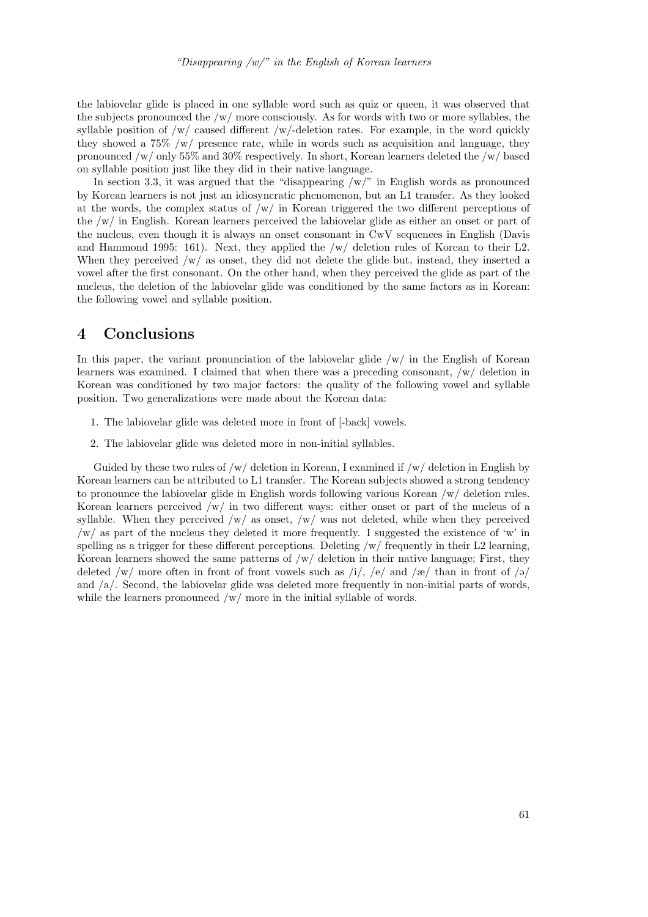the labiovelar glide is placed in one syllable word such as quiz or queen, it was observed that the subjects pronounced the /w/ more consciously. As for words with two or more syllables, the syllable position of  $/w/$  caused different  $/w/$ -deletion rates. For example, in the word quickly they showed a 75% /w/ presence rate, while in words such as acquisition and language, they pronounced /w/ only 55% and 30% respectively. In short, Korean learners deleted the /w/ based on syllable position just like they did in their native language.

In section 3.3, it was argued that the "disappearing  $/w$ " in English words as pronounced by Korean learners is not just an idiosyncratic phenomenon, but an L1 transfer. As they looked at the words, the complex status of  $/w/$  in Korean triggered the two different perceptions of the /w/ in English. Korean learners perceived the labiovelar glide as either an onset or part of the nucleus, even though it is always an onset consonant in CwV sequences in English (Davis and Hammond 1995: 161). Next, they applied the /w/ deletion rules of Korean to their L2. When they perceived /w/ as onset, they did not delete the glide but, instead, they inserted a vowel after the first consonant. On the other hand, when they perceived the glide as part of the nucleus, the deletion of the labiovelar glide was conditioned by the same factors as in Korean: the following vowel and syllable position.

# 4 Conclusions

In this paper, the variant pronunciation of the labiovelar glide  $/w/$  in the English of Korean learners was examined. I claimed that when there was a preceding consonant, /w/ deletion in Korean was conditioned by two major factors: the quality of the following vowel and syllable position. Two generalizations were made about the Korean data:

- 1. The labiovelar glide was deleted more in front of [-back] vowels.
- 2. The labiovelar glide was deleted more in non-initial syllables.

Guided by these two rules of  $/w/$  deletion in Korean, I examined if  $/w/$  deletion in English by Korean learners can be attributed to L1 transfer. The Korean subjects showed a strong tendency to pronounce the labiovelar glide in English words following various Korean /w/ deletion rules. Korean learners perceived /w/ in two different ways: either onset or part of the nucleus of a syllable. When they perceived  $/w/$  as onset,  $/w/$  was not deleted, while when they perceived  $/w/$  as part of the nucleus they deleted it more frequently. I suggested the existence of 'w' in spelling as a trigger for these different perceptions. Deleting  $/w/$  frequently in their L2 learning, Korean learners showed the same patterns of  $/w/$  deletion in their native language; First, they deleted /w/ more often in front of front vowels such as  $\frac{1}{2}$ ,  $\frac{1}{2}$  and  $\frac{1}{\alpha}$  than in front of  $\frac{1}{\alpha}$ and /a/. Second, the labiovelar glide was deleted more frequently in non-initial parts of words, while the learners pronounced  $/w/m$  or in the initial syllable of words.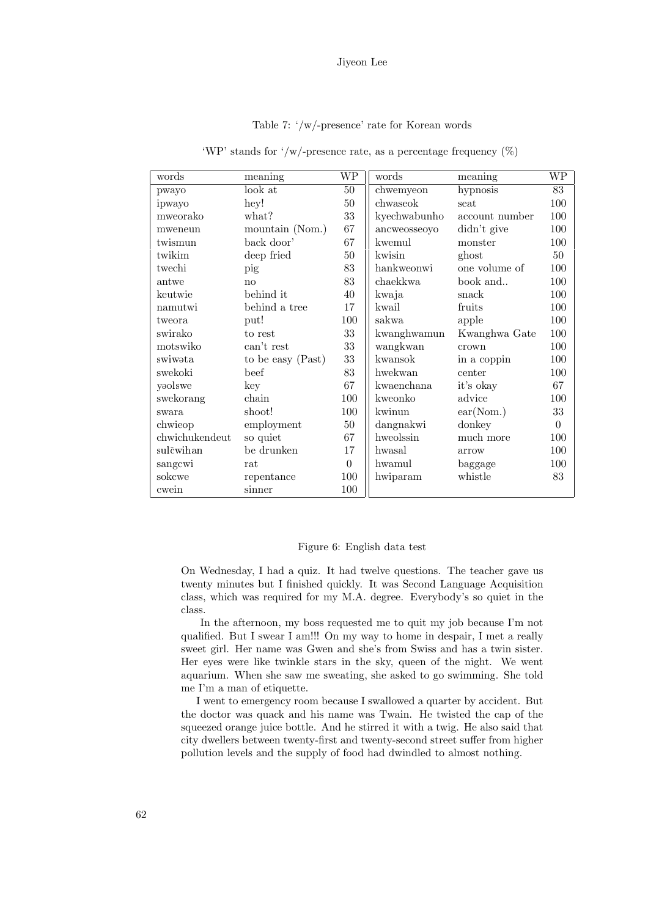Table 7: '/w/-presence' rate for Korean words

| words          | meaning           | WР             | words        | meaning        | WP       |
|----------------|-------------------|----------------|--------------|----------------|----------|
| pwayo          | look at           | 50             | chwemyeon    | hypnosis       | 83       |
| ipwayo         | hey!              | 50             | chwaseok     | seat           | 100      |
| mweorako       | what?             | 33             | kyechwabunho | account number | 100      |
| mweneun        | mountain (Nom.)   | 67             | ancweosseoyo | didn't give    | 100      |
| twismun        | back door'        | 67             | kwemul       | monster        | 100      |
| twikim         | deep fried        | 50             | kwisin       | ghost          | 50       |
| twechi         | pig               | 83             | hankweonwi   | one volume of  | 100      |
| antwe          | no                | 83             | chaekkwa     | book and       | 100      |
| keutwie        | behind it         | 40             | kwaja        | snack          | 100      |
| namutwi        | behind a tree     | 17             | kwail        | fruits         | 100      |
| tweora         | put!              | 100            | sakwa        | apple          | 100      |
| swirako        | to rest           | 33             | kwanghwamun  | Kwanghwa Gate  | 100      |
| motswiko       | can't rest        | 33             | wangkwan     | crown          | 100      |
| swiwata        | to be easy (Past) | 33             | kwansok      | in a coppin    | 100      |
| swekoki        | beef              | 83             | hwekwan      | center         | 100      |
| yaolswe        | key               | 67             | kwaenchana   | it's okay      | 67       |
| swekorang      | chain             | 100            | kweonko      | advice         | 100      |
| swara          | shoot!            | 100            | kwinun       | ear(Nom.)      | 33       |
| chwieop        | employment        | 50             | dangnakwi    | donkey         | $\Omega$ |
| chwichukendeut | so quiet          | 67             | hweolssin    | much more      | 100      |
| sulčwihan      | be drunken        | 17             | hwasal       | arrow          | 100      |
| sangcwi        | rat               | $\overline{0}$ | hwamul       | baggage        | 100      |
| sokcwe         | repentance        | 100            | hwiparam     | whistle        | 83       |
| cwein          | sinner            | 100            |              |                |          |

'WP' stands for '/w/-presence rate, as a percentage frequency  $(\%)$ 

### Figure 6: English data test

On Wednesday, I had a quiz. It had twelve questions. The teacher gave us twenty minutes but I finished quickly. It was Second Language Acquisition class, which was required for my M.A. degree. Everybody's so quiet in the class.

In the afternoon, my boss requested me to quit my job because I'm not qualified. But I swear I am!!! On my way to home in despair, I met a really sweet girl. Her name was Gwen and she's from Swiss and has a twin sister. Her eyes were like twinkle stars in the sky, queen of the night. We went aquarium. When she saw me sweating, she asked to go swimming. She told me I'm a man of etiquette.

I went to emergency room because I swallowed a quarter by accident. But the doctor was quack and his name was Twain. He twisted the cap of the squeezed orange juice bottle. And he stirred it with a twig. He also said that city dwellers between twenty-first and twenty-second street suffer from higher pollution levels and the supply of food had dwindled to almost nothing.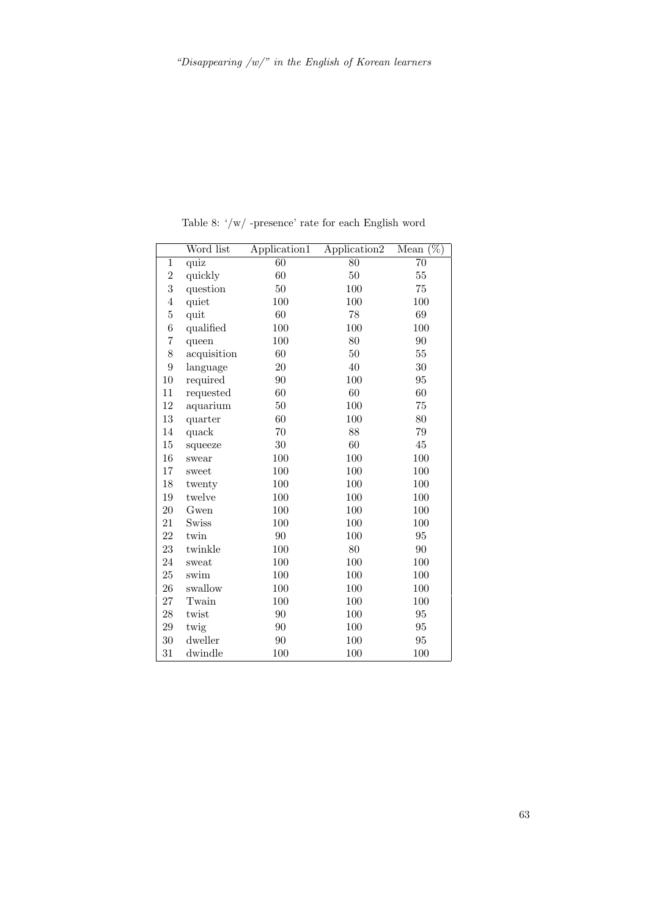|                  | Word list   | Application1 | Application <sub>2</sub> | $\overline{(\%)}$<br>Mean |
|------------------|-------------|--------------|--------------------------|---------------------------|
| 1                | quiz        | 60           | 80                       | 70                        |
| $\overline{2}$   | quickly     | 60           | 50                       | $55\,$                    |
| $\boldsymbol{3}$ | question    | $50\,$       | 100                      | 75                        |
| $\overline{4}$   | quiet       | 100          | 100                      | 100                       |
| $\overline{5}$   | quit        | 60           | 78                       | 69                        |
| $\sqrt{6}$       | qualified   | 100          | 100                      | 100                       |
| 7                | queen       | 100          | 80                       | 90                        |
| 8                | acquisition | 60           | 50                       | $55\,$                    |
| 9                | language    | 20           | 40                       | 30                        |
| 10               | required    | 90           | 100                      | 95                        |
| 11               | requested   | 60           | 60                       | 60                        |
| 12               | aquarium    | 50           | 100                      | 75                        |
| 13               | quarter     | 60           | 100                      | 80                        |
| 14               | quack       | 70           | 88                       | 79                        |
| $15\,$           | squeeze     | $30\,$       | 60                       | 45                        |
| 16               | swear       | 100          | 100                      | 100                       |
| $17\,$           | sweet       | 100          | 100                      | 100                       |
| 18               | twenty      | 100          | 100                      | 100                       |
| 19               | twelve      | 100          | 100                      | 100                       |
| 20               | Gwen        | 100          | 100                      | 100                       |
| 21               | Swiss       | 100          | 100                      | 100                       |
| 22               | twin        | 90           | 100                      | $\rm 95$                  |
| 23               | twinkle     | 100          | 80                       | $90\,$                    |
| 24               | sweat       | 100          | 100                      | 100                       |
| 25               | swim        | 100          | 100                      | 100                       |
| 26               | swallow     | 100          | 100                      | 100                       |
| 27               | Twain       | 100          | 100                      | 100                       |
| 28               | twist       | 90           | 100                      | 95                        |
| 29               | twig        | 90           | 100                      | $\rm 95$                  |
| 30               | dweller     | 90           | 100                      | 95                        |
| 31               | dwindle     | 100          | 100                      | 100                       |

Table 8:  $\sqrt[{\cdot}]{\mathbf{w}}/$  -presence' rate for each English word